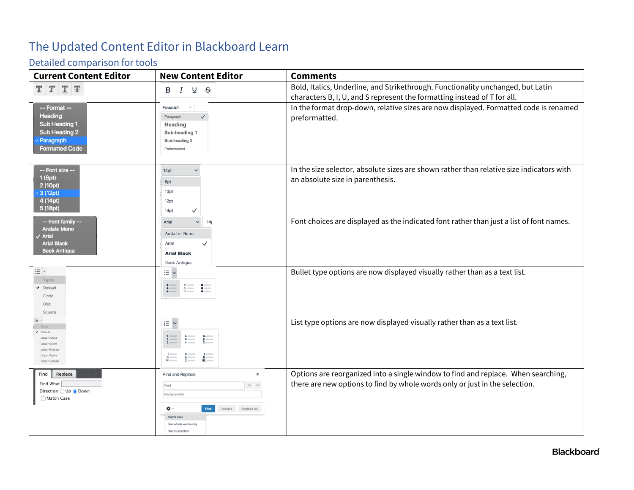## The Updated Content Editor in Blackboard Learn

## Detailed comparison for tools

| <b>Current Content Editor</b>                                                                            | <b>New Content Editor</b>                                                                                                                                                    | <b>Comments</b>                                                                                                                                                  |
|----------------------------------------------------------------------------------------------------------|------------------------------------------------------------------------------------------------------------------------------------------------------------------------------|------------------------------------------------------------------------------------------------------------------------------------------------------------------|
| $T$ $T$ $T$ $F$                                                                                          | I<br>∩ ਰ<br>в                                                                                                                                                                | Bold, Italics, Underline, and Strikethrough. Functionality unchanged, but Latin<br>characters B, I, U, and S represent the formatting instead of T for all.      |
| -- Format --<br><b>Heading</b><br>Sub Heading 1<br>Sub Heading 2<br>Paragraph<br><b>Formatted Code</b>   | $\checkmark$<br>Paragraph<br>$\checkmark$<br>Paragraph<br>Heading<br>Sub-heading 1<br>Sub-heading 2<br>Preformatted                                                          | In the format drop-down, relative sizes are now displayed. Formatted code is renamed<br>preformatted.                                                            |
| -- Font size --<br>1(8pt)<br>2 (10pt)<br>3 (12pt)<br>4 (14pt)<br>5 (18pt)                                | 14pt<br>$\checkmark$<br>8pt<br>10pt<br>12pt<br>14pt<br>$\checkmark$                                                                                                          | In the size selector, absolute sizes are shown rather than relative size indicators with<br>an absolute size in parenthesis.                                     |
| --- Font family --<br>Andale Mono<br>Arial<br><b>Arial Black</b><br><b>Book Antiqua</b>                  | Arial<br>$\checkmark$<br>14 <sub>l</sub><br>Andale Mono<br>Arial<br><b>Arial Black</b><br><b>Book Antiqua</b>                                                                | Font choices are displayed as the indicated font rather than just a list of font names.                                                                          |
| $\equiv$ $\mathring{\phantom{a}}$<br>Types<br>$\nu$ Default<br>Circle<br>Disc<br>Square                  | $\equiv$ $\sim$<br>$\stackrel{\circ}{=}$ :<br>這                                                                                                                              | Bullet type options are now displayed visually rather than as a text list.                                                                                       |
| IΞ·<br>Types<br>$\nu$ Default<br>Lower Alpha<br>Lower Greek<br>Lower Roman<br>Upper Alpha<br>Upper Roman | łΞ<br>$\checkmark$<br>$\beta$ .<br>$\frac{2}{3}$<br>b.<br>$\begin{array}{ccc}\nA. & & & I. \\ B. & & & \cdots \\ C. & & & \cdots\n\end{array}$<br>Æ.                         | List type options are now displayed visually rather than as a text list.                                                                                         |
| Replace<br>Find<br>Find What<br>Direction ◯ Up ● Down<br>Match Case                                      | <b>Find and Replace</b><br>×<br>$\land\hspace{0.1cm} \lor$<br>Find<br>Replace with<br>₩ √<br>Replace Replace All<br>Match case<br>Find whole words only<br>Find in selection | Options are reorganized into a single window to find and replace. When searching,<br>there are new options to find by whole words only or just in the selection. |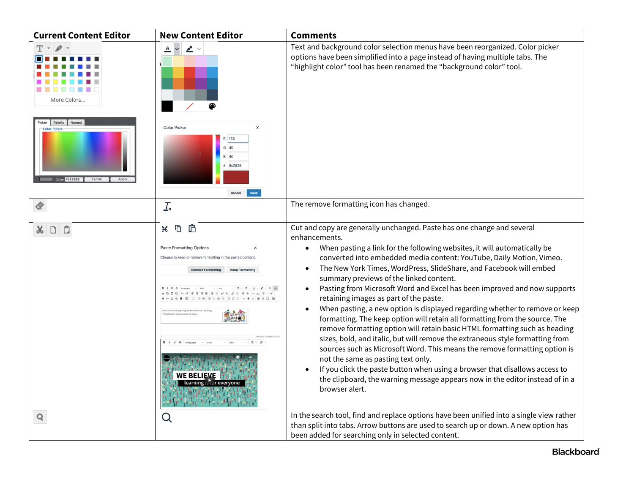| <b>Current Content Editor</b>                                                   | <b>New Content Editor</b>                                                                                                                                                                         | <b>Comments</b>                                                                                                                                                                                                                                                                                                                                                                                                                                                                                                                                                                                                                                                                                                                                                                                                                                                                                                                                                                                                                                                                                                      |
|---------------------------------------------------------------------------------|---------------------------------------------------------------------------------------------------------------------------------------------------------------------------------------------------|----------------------------------------------------------------------------------------------------------------------------------------------------------------------------------------------------------------------------------------------------------------------------------------------------------------------------------------------------------------------------------------------------------------------------------------------------------------------------------------------------------------------------------------------------------------------------------------------------------------------------------------------------------------------------------------------------------------------------------------------------------------------------------------------------------------------------------------------------------------------------------------------------------------------------------------------------------------------------------------------------------------------------------------------------------------------------------------------------------------------|
| More Colors                                                                     | $\blacktriangle$ $\vee$<br>$\overline{\mathbb{A}}$                                                                                                                                                | Text and background color selection menus have been reorganized. Color picker<br>options have been simplified into a page instead of having multiple tabs. The<br>"highlight color" tool has been renamed the "background color" tool.                                                                                                                                                                                                                                                                                                                                                                                                                                                                                                                                                                                                                                                                                                                                                                                                                                                                               |
| Picker Palette Named<br><b>Color Picke</b><br>Color: #888888<br>Cancel<br>Apply | <b>Color Picker</b><br>$\times$<br>R 156<br>G 40<br>$R$ $40$<br># 9c2828                                                                                                                          |                                                                                                                                                                                                                                                                                                                                                                                                                                                                                                                                                                                                                                                                                                                                                                                                                                                                                                                                                                                                                                                                                                                      |
|                                                                                 | $\frac{1}{2}$                                                                                                                                                                                     | The remove formatting icon has changed.                                                                                                                                                                                                                                                                                                                                                                                                                                                                                                                                                                                                                                                                                                                                                                                                                                                                                                                                                                                                                                                                              |
| $X \cup$<br>O                                                                   | Ô<br>Ō<br>Ж<br><b>Paste Formatting Options</b><br>Choose to keep or remove formatting in the pasted content<br>sctively Prepare for Distance Lea<br><b>NE BELIEVE</b><br>learning is for everyone | Cut and copy are generally unchanged. Paste has one change and several<br>enhancements.<br>When pasting a link for the following websites, it will automatically be<br>converted into embedded media content: YouTube, Daily Motion, Vimeo.<br>The New York Times, WordPress, SlideShare, and Facebook will embed<br>summary previews of the linked content.<br>Pasting from Microsoft Word and Excel has been improved and now supports<br>retaining images as part of the paste.<br>When pasting, a new option is displayed regarding whether to remove or keep<br>formatting. The keep option will retain all formatting from the source. The<br>remove formatting option will retain basic HTML formatting such as heading<br>sizes, bold, and italic, but will remove the extraneous style formatting from<br>sources such as Microsoft Word. This means the remove formatting option is<br>not the same as pasting text only.<br>If you click the paste button when using a browser that disallows access to<br>the clipboard, the warning message appears now in the editor instead of in a<br>browser alert. |
| Q                                                                               | Q                                                                                                                                                                                                 | In the search tool, find and replace options have been unified into a single view rather<br>than split into tabs. Arrow buttons are used to search up or down. A new option has<br>been added for searching only in selected content.                                                                                                                                                                                                                                                                                                                                                                                                                                                                                                                                                                                                                                                                                                                                                                                                                                                                                |

## **Blackboard**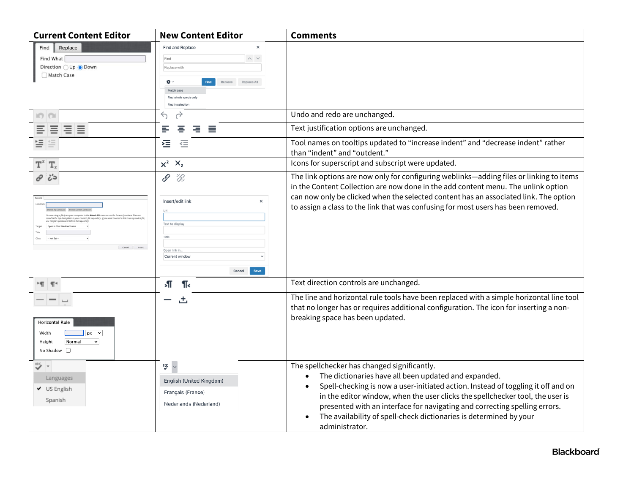| <b>Current Content Editor</b>                                                                                               | <b>New Content Editor</b>                                                                                                                                                               | <b>Comments</b>                                                                                                                                                                                                                                                                                                                                                                                                                                                          |
|-----------------------------------------------------------------------------------------------------------------------------|-----------------------------------------------------------------------------------------------------------------------------------------------------------------------------------------|--------------------------------------------------------------------------------------------------------------------------------------------------------------------------------------------------------------------------------------------------------------------------------------------------------------------------------------------------------------------------------------------------------------------------------------------------------------------------|
| Replace<br>Find  <br>Find What<br>Direction ○ Up ● Down<br>Match Case                                                       | <b>Find and Replace</b><br>$\times$<br>$\wedge\hspace{0.1cm} \vee$<br>Find<br>Replace with<br>₩ √<br>Replace All<br>Replace<br>Match case<br>Find whole words only<br>Find in selection |                                                                                                                                                                                                                                                                                                                                                                                                                                                                          |
| <b>IO</b>                                                                                                                   | $\rightarrow$<br>↽                                                                                                                                                                      | Undo and redo are unchanged.                                                                                                                                                                                                                                                                                                                                                                                                                                             |
| 目目<br>≣<br>≣                                                                                                                | ミ<br>$\equiv$<br>≣<br>₽                                                                                                                                                                 | Text justification options are unchanged.                                                                                                                                                                                                                                                                                                                                                                                                                                |
| 들<br>≝                                                                                                                      | 福<br>$\equiv$                                                                                                                                                                           | Tool names on tooltips updated to "increase indent" and "decrease indent" rather<br>than "indent" and "outdent."                                                                                                                                                                                                                                                                                                                                                         |
| T,                                                                                                                          | $\times^2$ $\times_2$                                                                                                                                                                   | Icons for superscript and subscript were updated.                                                                                                                                                                                                                                                                                                                                                                                                                        |
| د ج<br>mouter to the Attach File area or use the browse func<br>tory. If you want to email a link to an<br>Cancel<br>Insert | \$<br>゙゙<br>Insert/edit link<br>$\times$<br>Text to display<br>Open link in<br>Current window<br>Save<br>Cancel                                                                         | The link options are now only for configuring weblinks-adding files or linking to items<br>in the Content Collection are now done in the add content menu. The unlink option<br>can now only be clicked when the selected content has an associated link. The option<br>to assign a class to the link that was confusing for most users has been removed.                                                                                                                |
| $-$ T $\leq$                                                                                                                | Я<br>¶<                                                                                                                                                                                 | Text direction controls are unchanged.                                                                                                                                                                                                                                                                                                                                                                                                                                   |
| Horizontal Rule<br>Width<br>$\overline{\phantom{a}}$<br>px<br>Normal<br>$\check{~}$<br>Height<br>No Shadow $\Box$           | 出                                                                                                                                                                                       | The line and horizontal rule tools have been replaced with a simple horizontal line tool<br>that no longer has or requires additional configuration. The icon for inserting a non-<br>breaking space has been updated.                                                                                                                                                                                                                                                   |
| "≻ ∗<br>Languages<br>↓ US English<br>Spanish                                                                                | 뻇<br>English (United Kingdom)<br>Français (France)<br>Nederlands (Nederland)                                                                                                            | The spellchecker has changed significantly.<br>The dictionaries have all been updated and expanded.<br>$\bullet$<br>Spell-checking is now a user-initiated action. Instead of toggling it off and on<br>$\bullet$<br>in the editor window, when the user clicks the spellchecker tool, the user is<br>presented with an interface for navigating and correcting spelling errors.<br>The availability of spell-check dictionaries is determined by your<br>administrator. |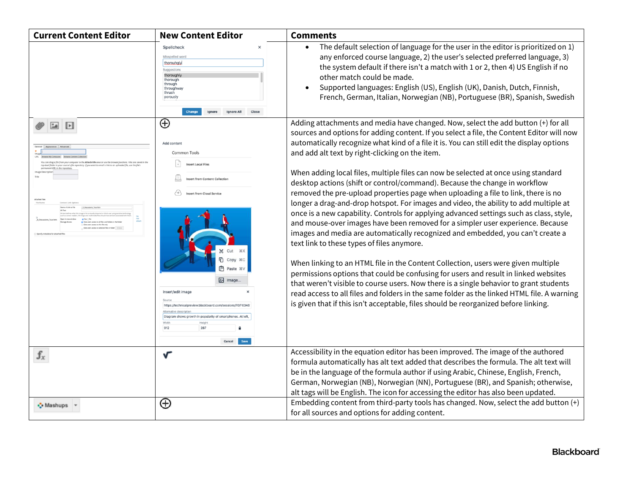| <b>Current Content Editor</b>                                                                                           | <b>New Content Editor</b>                                                                                                                                                   | <b>Comments</b>                                                                                                                                                                                                                                                                                                                                                                                                                                                       |
|-------------------------------------------------------------------------------------------------------------------------|-----------------------------------------------------------------------------------------------------------------------------------------------------------------------------|-----------------------------------------------------------------------------------------------------------------------------------------------------------------------------------------------------------------------------------------------------------------------------------------------------------------------------------------------------------------------------------------------------------------------------------------------------------------------|
|                                                                                                                         | $\times$<br>Spellcheck<br>Misspelled word<br>thorouhaly<br>Suggestions<br>thoroughly<br>thorough<br>through<br>throughway<br>thrush<br>porously                             | The default selection of language for the user in the editor is prioritized on 1)<br>$\bullet$<br>any enforced course language, 2) the user's selected preferred language, 3)<br>the system default if there isn't a match with 1 or 2, then 4) US English if no<br>other match could be made.<br>Supported languages: English (US), English (UK), Danish, Dutch, Finnish,<br>$\bullet$<br>French, German, Italian, Norwegian (NB), Portuguese (BR), Spanish, Swedish |
| Þ<br>ster to the Attach File area or use the br<br>your course's file repository. If you want to email a link to an upl | $\oplus$<br>Add conten<br>Common Tools<br><b>Insert Local Files</b>                                                                                                         | Adding attachments and media have changed. Now, select the add button (+) for all<br>sources and options for adding content. If you select a file, the Content Editor will now<br>automatically recognize what kind of a file it is. You can still edit the display options<br>and add alt text by right-clicking on the item.                                                                                                                                        |
|                                                                                                                         | <b>Insert from Content Collection</b><br><b>Insert from Cloud Service</b>                                                                                                   | When adding local files, multiple files can now be selected at once using standard<br>desktop actions (shift or control/command). Because the change in workflow<br>removed the pre-upload properties page when uploading a file to link, there is no<br>longer a drag-and-drop hotspot. For images and video, the ability to add multiple at                                                                                                                         |
|                                                                                                                         | Cut<br><b>XX</b>                                                                                                                                                            | once is a new capability. Controls for applying advanced settings such as class, style,<br>and mouse-over images have been removed for a simpler user experience. Because<br>images and media are automatically recognized and embedded, you can't create a<br>text link to these types of files anymore.                                                                                                                                                             |
|                                                                                                                         | <b>门</b> Copy #C<br><b>门</b> Paste %\<br>on Image.                                                                                                                          | When linking to an HTML file in the Content Collection, users were given multiple<br>permissions options that could be confusing for users and result in linked websites<br>that weren't visible to course users. Now there is a single behavior to grant students                                                                                                                                                                                                    |
|                                                                                                                         | Insert/edit image<br>Source<br>https://technicalpreview.blackboard.com/sessions/F0/F034<br>Diagram shows growth in popularity of smartphones. At left<br>287<br>۵<br>Cancel | read access to all files and folders in the same folder as the linked HTML file. A warning<br>is given that if this isn't acceptable, files should be reorganized before linking.                                                                                                                                                                                                                                                                                     |
| $\mathbf{f}_x$                                                                                                          | V                                                                                                                                                                           | Accessibility in the equation editor has been improved. The image of the authored<br>formula automatically has alt text added that describes the formula. The alt text will<br>be in the language of the formula author if using Arabic, Chinese, English, French,<br>German, Norwegian (NB), Norwegian (NN), Portuguese (BR), and Spanish; otherwise,                                                                                                                |
| • Mashups                                                                                                               | $\oplus$                                                                                                                                                                    | alt tags will be English. The icon for accessing the editor has also been updated.<br>Embedding content from third-party tools has changed. Now, select the add button (+)                                                                                                                                                                                                                                                                                            |
|                                                                                                                         |                                                                                                                                                                             | for all sources and options for adding content.                                                                                                                                                                                                                                                                                                                                                                                                                       |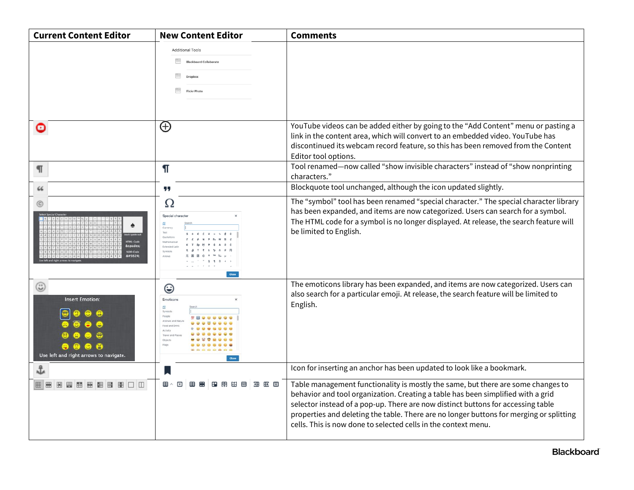| <b>Current Content Editor</b>                                         | <b>New Content Editor</b>                                                                                                   | <b>Comments</b>                                                                                                                                                                                                                                                                                                                                                                                                       |
|-----------------------------------------------------------------------|-----------------------------------------------------------------------------------------------------------------------------|-----------------------------------------------------------------------------------------------------------------------------------------------------------------------------------------------------------------------------------------------------------------------------------------------------------------------------------------------------------------------------------------------------------------------|
|                                                                       | <b>Additional Tools</b><br><b>Blackboard Collaborate</b><br>Dropho<br><b>Flickr Photo</b>                                   |                                                                                                                                                                                                                                                                                                                                                                                                                       |
| ⊙                                                                     | $\oplus$                                                                                                                    | YouTube videos can be added either by going to the "Add Content" menu or pasting a<br>link in the content area, which will convert to an embedded video. YouTube has<br>discontinued its webcam record feature, so this has been removed from the Content<br>Editor tool options.                                                                                                                                     |
| П                                                                     | ¶                                                                                                                           | Tool renamed-now called "show invisible characters" instead of "show nonprinting<br>characters."                                                                                                                                                                                                                                                                                                                      |
| 66                                                                    | 99                                                                                                                          | Blockquote tool unchanged, although the icon updated slightly.                                                                                                                                                                                                                                                                                                                                                        |
| $\circled{c}$<br>♠:<br>♠                                              | Ω<br>Special character                                                                                                      | The "symbol" tool has been renamed "special character." The special character library<br>has been expanded, and items are now categorized. Users can search for a symbol.<br>The HTML code for a symbol is no longer displayed. At release, the search feature will<br>be limited to English.                                                                                                                         |
| ☺<br><b>Insert Emotion:</b><br>Use left and right arrows to navigate. | ☺<br>Emoticons<br>$\mathbf{A}$<br>Symbol<br>Animals and Nati<br>Food and Dr<br>Activity<br>Trauel and P<br>Objects<br>Flags | The emoticons library has been expanded, and items are now categorized. Users can<br>also search for a particular emoji. At release, the search feature will be limited to<br>English.                                                                                                                                                                                                                                |
| 雷                                                                     |                                                                                                                             | Icon for inserting an anchor has been updated to look like a bookmark.                                                                                                                                                                                                                                                                                                                                                |
|                                                                       | 田田田<br>Œ<br>田へ<br>$\boxed{\mathbf{x}}$<br>æ<br>æ<br>用 出 図                                                                   | Table management functionality is mostly the same, but there are some changes to<br>behavior and tool organization. Creating a table has been simplified with a grid<br>selector instead of a pop-up. There are now distinct buttons for accessing table<br>properties and deleting the table. There are no longer buttons for merging or splitting<br>cells. This is now done to selected cells in the context menu. |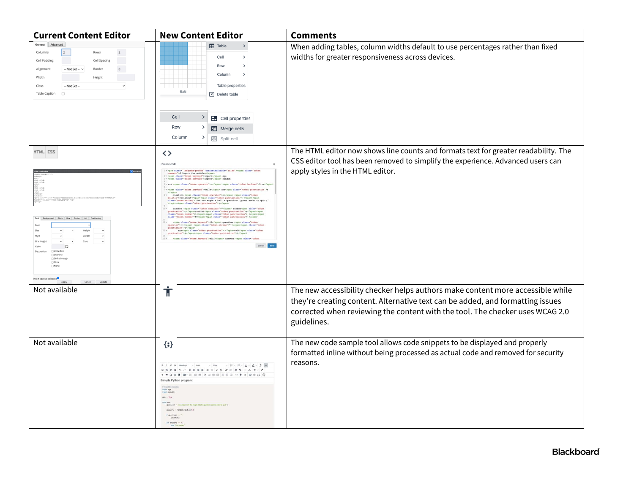| <b>Current Content Editor</b>                                                                                                                                                                                  | <b>New Content Editor</b>                                                                                                                                                                   | <b>Comments</b>                                                                                                                                                                                                                                                  |
|----------------------------------------------------------------------------------------------------------------------------------------------------------------------------------------------------------------|---------------------------------------------------------------------------------------------------------------------------------------------------------------------------------------------|------------------------------------------------------------------------------------------------------------------------------------------------------------------------------------------------------------------------------------------------------------------|
| General Advanced<br>$\vert$ 2<br>$\overline{2}$<br>Columns<br>Rows<br>Cell Padding<br>Cell Spacing<br>- Not Set -- '<br>Alignment<br>Borde<br>Width<br>Height<br>-- Not Set -<br>Class<br><b>Table Caption</b> | <b>EB</b> Table<br>Cell<br>Row<br>Column<br>Table properties<br>6x5<br>Delete table<br>Cell<br>ゝ<br><b>En</b> Cell properties<br>Row<br>田 Merge cells<br>Column<br>᠈<br><b>最</b> Split cell | When adding tables, column widths default to use percentages rather than fixed<br>widths for greater responsiveness across devices.                                                                                                                              |
| HTML ESS<br>Cancel Update                                                                                                                                                                                      | <><br>Source code<br>tak the magic # ball a question: (press                                                                                                                                | The HTML editor now shows line counts and formats text for greater readability. The<br>CSS editor tool has been removed to simplify the experience. Advanced users can<br>apply styles in the HTML editor.                                                       |
| Not available                                                                                                                                                                                                  | $\dot{\bm{\pi}}$                                                                                                                                                                            | The new accessibility checker helps authors make content more accessible while<br>they're creating content. Alternative text can be added, and formatting issues<br>corrected when reviewing the content with the tool. The checker uses WCAG 2.0<br>guidelines. |
| Not available                                                                                                                                                                                                  | $\{;\}$<br>ans: v. True                                                                                                                                                                     | The new code sample tool allows code snippets to be displayed and properly<br>formatted inline without being processed as actual code and removed for security<br>reasons.                                                                                       |